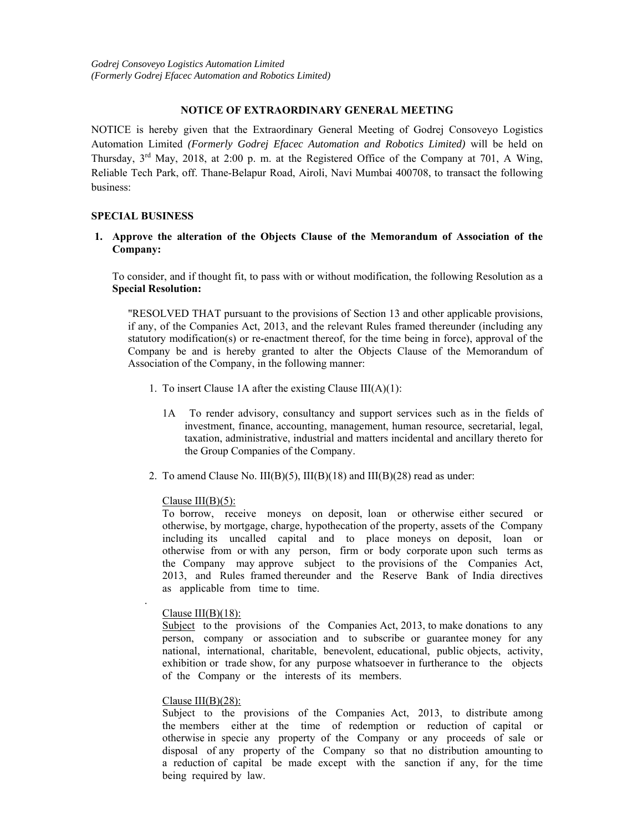### **NOTICE OF EXTRAORDINARY GENERAL MEETING**

NOTICE is hereby given that the Extraordinary General Meeting of Godrej Consoveyo Logistics Automation Limited *(Formerly Godrej Efacec Automation and Robotics Limited)* will be held on Thursday, 3rd May, 2018, at 2:00 p. m. at the Registered Office of the Company at 701, A Wing, Reliable Tech Park, off. Thane-Belapur Road, Airoli, Navi Mumbai 400708, to transact the following business:

### **SPECIAL BUSINESS**

### **1. Approve the alteration of the Objects Clause of the Memorandum of Association of the Company:**

To consider, and if thought fit, to pass with or without modification, the following Resolution as a **Special Resolution:** 

"RESOLVED THAT pursuant to the provisions of Section 13 and other applicable provisions, if any, of the Companies Act, 2013, and the relevant Rules framed thereunder (including any statutory modification(s) or re-enactment thereof, for the time being in force), approval of the Company be and is hereby granted to alter the Objects Clause of the Memorandum of Association of the Company, in the following manner:

- 1. To insert Clause 1A after the existing Clause  $III(A)(1)$ :
	- 1A To render advisory, consultancy and support services such as in the fields of investment, finance, accounting, management, human resource, secretarial, legal, taxation, administrative, industrial and matters incidental and ancillary thereto for the Group Companies of the Company.
- 2. To amend Clause No. III(B)(5), III(B)(18) and III(B)(28) read as under:

### Clause  $III(B)(5)$ :

To borrow, receive moneys on deposit, loan or otherwise either secured or otherwise, by mortgage, charge, hypothecation of the property, assets of the Company including its uncalled capital and to place moneys on deposit, loan or otherwise from or with any person, firm or body corporate upon such terms as the Company may approve subject to the provisions of the Companies Act, 2013, and Rules framed thereunder and the Reserve Bank of India directives as applicable from time to time.

### Clause  $III(B)(18)$ :

.

Subject to the provisions of the Companies Act, 2013, to make donations to any person, company or association and to subscribe or guarantee money for any national, international, charitable, benevolent, educational, public objects, activity, exhibition or trade show, for any purpose whatsoever in furtherance to the objects of the Company or the interests of its members.

#### Clause  $III(B)(28)$ :

Subject to the provisions of the Companies Act, 2013, to distribute among the members either at the time of redemption or reduction of capital or otherwise in specie any property of the Company or any proceeds of sale or disposal of any property of the Company so that no distribution amounting to a reduction of capital be made except with the sanction if any, for the time being required by law.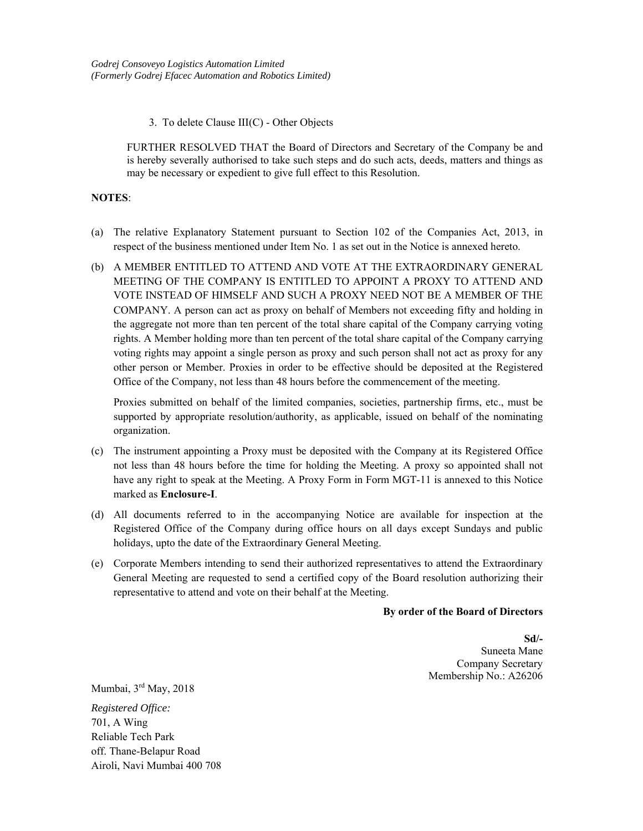3. To delete Clause III(C) - Other Objects

FURTHER RESOLVED THAT the Board of Directors and Secretary of the Company be and is hereby severally authorised to take such steps and do such acts, deeds, matters and things as may be necessary or expedient to give full effect to this Resolution.

### **NOTES**:

- (a) The relative Explanatory Statement pursuant to Section 102 of the Companies Act, 2013, in respect of the business mentioned under Item No. 1 as set out in the Notice is annexed hereto.
- (b) A MEMBER ENTITLED TO ATTEND AND VOTE AT THE EXTRAORDINARY GENERAL MEETING OF THE COMPANY IS ENTITLED TO APPOINT A PROXY TO ATTEND AND VOTE INSTEAD OF HIMSELF AND SUCH A PROXY NEED NOT BE A MEMBER OF THE COMPANY. A person can act as proxy on behalf of Members not exceeding fifty and holding in the aggregate not more than ten percent of the total share capital of the Company carrying voting rights. A Member holding more than ten percent of the total share capital of the Company carrying voting rights may appoint a single person as proxy and such person shall not act as proxy for any other person or Member. Proxies in order to be effective should be deposited at the Registered Office of the Company, not less than 48 hours before the commencement of the meeting.

 Proxies submitted on behalf of the limited companies, societies, partnership firms, etc., must be supported by appropriate resolution/authority, as applicable, issued on behalf of the nominating organization.

- (c) The instrument appointing a Proxy must be deposited with the Company at its Registered Office not less than 48 hours before the time for holding the Meeting. A proxy so appointed shall not have any right to speak at the Meeting. A Proxy Form in Form MGT-11 is annexed to this Notice marked as **Enclosure-I**.
- (d) All documents referred to in the accompanying Notice are available for inspection at the Registered Office of the Company during office hours on all days except Sundays and public holidays, upto the date of the Extraordinary General Meeting.
- (e) Corporate Members intending to send their authorized representatives to attend the Extraordinary General Meeting are requested to send a certified copy of the Board resolution authorizing their representative to attend and vote on their behalf at the Meeting.

### **By order of the Board of Directors**

**Sd/-**  Suneeta Mane Company Secretary Membership No.: A26206

Mumbai, 3rd May, 2018

*Registered Office:*  701, A Wing Reliable Tech Park off. Thane-Belapur Road Airoli, Navi Mumbai 400 708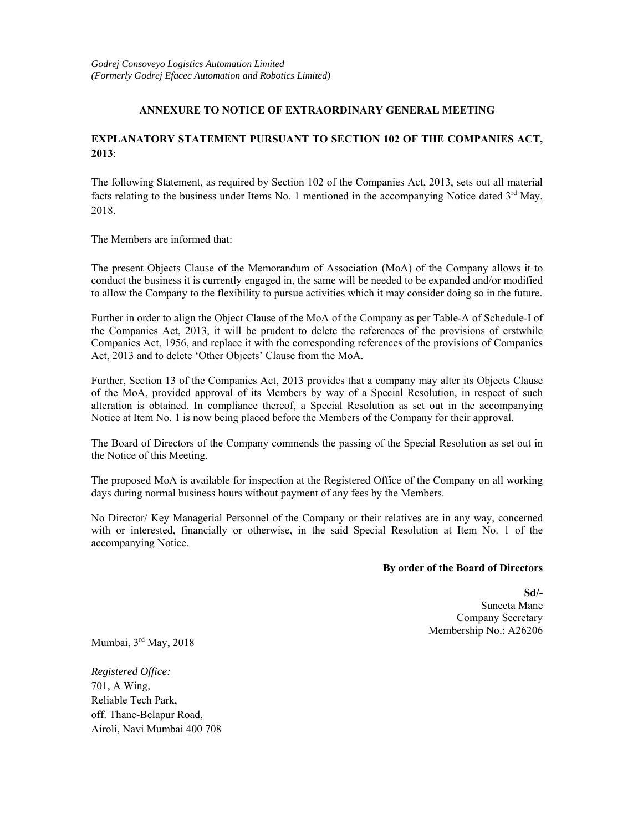# **ANNEXURE TO NOTICE OF EXTRAORDINARY GENERAL MEETING**

# **EXPLANATORY STATEMENT PURSUANT TO SECTION 102 OF THE COMPANIES ACT, 2013**:

The following Statement, as required by Section 102 of the Companies Act, 2013, sets out all material facts relating to the business under Items No. 1 mentioned in the accompanying Notice dated  $3<sup>rd</sup>$  May, 2018.

The Members are informed that:

The present Objects Clause of the Memorandum of Association (MoA) of the Company allows it to conduct the business it is currently engaged in, the same will be needed to be expanded and/or modified to allow the Company to the flexibility to pursue activities which it may consider doing so in the future.

Further in order to align the Object Clause of the MoA of the Company as per Table-A of Schedule-I of the Companies Act, 2013, it will be prudent to delete the references of the provisions of erstwhile Companies Act, 1956, and replace it with the corresponding references of the provisions of Companies Act, 2013 and to delete 'Other Objects' Clause from the MoA.

Further, Section 13 of the Companies Act, 2013 provides that a company may alter its Objects Clause of the MoA, provided approval of its Members by way of a Special Resolution, in respect of such alteration is obtained. In compliance thereof, a Special Resolution as set out in the accompanying Notice at Item No. 1 is now being placed before the Members of the Company for their approval.

The Board of Directors of the Company commends the passing of the Special Resolution as set out in the Notice of this Meeting.

The proposed MoA is available for inspection at the Registered Office of the Company on all working days during normal business hours without payment of any fees by the Members.

No Director/ Key Managerial Personnel of the Company or their relatives are in any way, concerned with or interested, financially or otherwise, in the said Special Resolution at Item No. 1 of the accompanying Notice.

### **By order of the Board of Directors**

**Sd/-**  Suneeta Mane Company Secretary Membership No.: A26206

Mumbai, 3rd May, 2018

*Registered Office:*  701, A Wing, Reliable Tech Park, off. Thane-Belapur Road, Airoli, Navi Mumbai 400 708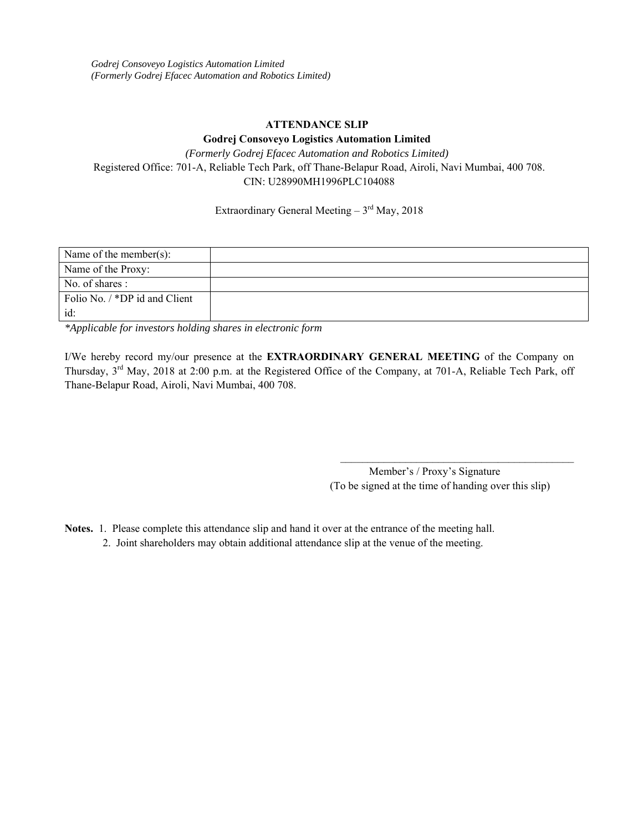# **ATTENDANCE SLIP**

### **Godrej Consoveyo Logistics Automation Limited**

*(Formerly Godrej Efacec Automation and Robotics Limited)*  Registered Office: 701-A, Reliable Tech Park, off Thane-Belapur Road, Airoli, Navi Mumbai, 400 708. CIN: U28990MH1996PLC104088

Extraordinary General Meeting  $-3<sup>rd</sup>$  May, 2018

| Name of the member(s):        |  |
|-------------------------------|--|
| Name of the Proxy:            |  |
| No. of shares :               |  |
| Folio No. / *DP id and Client |  |
| id:                           |  |

*\*Applicable for investors holding shares in electronic form* 

I/We hereby record my/our presence at the **EXTRAORDINARY GENERAL MEETING** of the Company on Thursday, 3rd May, 2018 at 2:00 p.m. at the Registered Office of the Company, at 701-A, Reliable Tech Park, off Thane-Belapur Road, Airoli, Navi Mumbai, 400 708.

> Member's / Proxy's Signature (To be signed at the time of handing over this slip)

\_\_\_\_\_\_\_\_\_\_\_\_\_\_\_\_\_\_\_\_\_\_\_\_\_\_\_\_\_\_\_\_\_\_\_\_\_\_\_\_\_\_\_

- **Notes.** 1. Please complete this attendance slip and hand it over at the entrance of the meeting hall.
	- 2. Joint shareholders may obtain additional attendance slip at the venue of the meeting.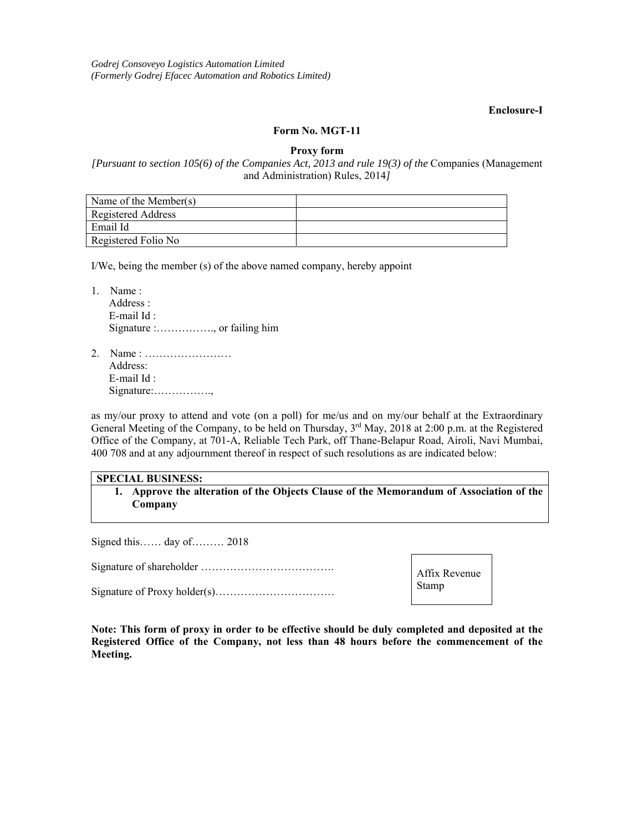### **Enclosure-I**

### **Form No. MGT-11**

**Proxy form** 

# *[Pursuant to section 105(6) of the Companies Act, 2013 and rule 19(3) of the* Companies (Management and Administration) Rules, 2014*]*

| Name of the Member(s) |  |
|-----------------------|--|
| Registered Address    |  |
| Email Id              |  |
| Registered Folio No   |  |

I/We, being the member (s) of the above named company, hereby appoint

1. Name : Address : E-mail Id : Signature :……………., or failing him

2. Name : …………………… Address: E-mail Id : Signature:…………….,

as my/our proxy to attend and vote (on a poll) for me/us and on my/our behalf at the Extraordinary General Meeting of the Company, to be held on Thursday, 3<sup>rd</sup> May, 2018 at 2:00 p.m. at the Registered Office of the Company, at 701-A, Reliable Tech Park, off Thane-Belapur Road, Airoli, Navi Mumbai, 400 708 and at any adjournment thereof in respect of such resolutions as are indicated below:

# **SPECIAL BUSINESS:**

**1. Approve the alteration of the Objects Clause of the Memorandum of Association of the Company** 

Signed this…… day of……… 2018

Signature of shareholder ……………………………….

Signature of Proxy holder(s)……………………………

Affix Revenue Stamp

**Note: This form of proxy in order to be effective should be duly completed and deposited at the Registered Office of the Company, not less than 48 hours before the commencement of the Meeting.**